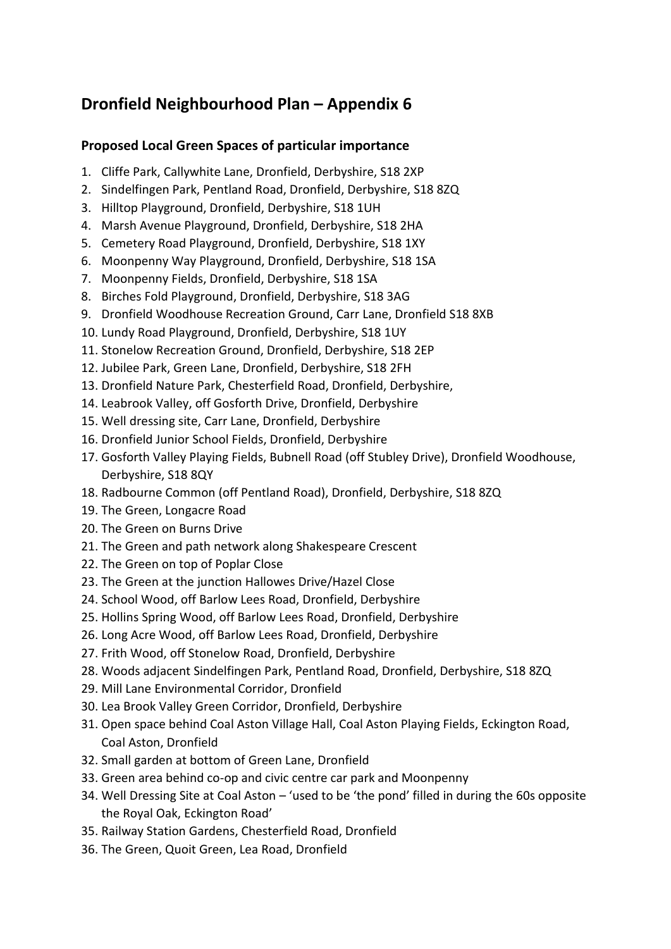## **Dronfield Neighbourhood Plan – Appendix 6**

## **Proposed Local Green Spaces of particular importance**

- 1. Cliffe Park, Callywhite Lane, Dronfield, Derbyshire, S18 2XP
- 2. Sindelfingen Park, Pentland Road, Dronfield, Derbyshire, S18 8ZQ
- 3. Hilltop Playground, Dronfield, Derbyshire, S18 1UH
- 4. Marsh Avenue Playground, Dronfield, Derbyshire, S18 2HA
- 5. Cemetery Road Playground, Dronfield, Derbyshire, S18 1XY
- 6. Moonpenny Way Playground, Dronfield, Derbyshire, S18 1SA
- 7. Moonpenny Fields, Dronfield, Derbyshire, S18 1SA
- 8. Birches Fold Playground, Dronfield, Derbyshire, S18 3AG
- 9. Dronfield Woodhouse Recreation Ground, Carr Lane, Dronfield S18 8XB
- 10. Lundy Road Playground, Dronfield, Derbyshire, S18 1UY
- 11. Stonelow Recreation Ground, Dronfield, Derbyshire, S18 2EP
- 12. Jubilee Park, Green Lane, Dronfield, Derbyshire, S18 2FH
- 13. Dronfield Nature Park, Chesterfield Road, Dronfield, Derbyshire,
- 14. Leabrook Valley, off Gosforth Drive, Dronfield, Derbyshire
- 15. Well dressing site, Carr Lane, Dronfield, Derbyshire
- 16. Dronfield Junior School Fields, Dronfield, Derbyshire
- 17. Gosforth Valley Playing Fields, Bubnell Road (off Stubley Drive), Dronfield Woodhouse, Derbyshire, S18 8QY
- 18. Radbourne Common (off Pentland Road), Dronfield, Derbyshire, S18 8ZQ
- 19. The Green, Longacre Road
- 20. The Green on Burns Drive
- 21. The Green and path network along Shakespeare Crescent
- 22. The Green on top of Poplar Close
- 23. The Green at the junction Hallowes Drive/Hazel Close
- 24. School Wood, off Barlow Lees Road, Dronfield, Derbyshire
- 25. Hollins Spring Wood, off Barlow Lees Road, Dronfield, Derbyshire
- 26. Long Acre Wood, off Barlow Lees Road, Dronfield, Derbyshire
- 27. Frith Wood, off Stonelow Road, Dronfield, Derbyshire
- 28. Woods adjacent Sindelfingen Park, Pentland Road, Dronfield, Derbyshire, S18 8ZQ
- 29. Mill Lane Environmental Corridor, Dronfield
- 30. Lea Brook Valley Green Corridor, Dronfield, Derbyshire
- 31. Open space behind Coal Aston Village Hall, Coal Aston Playing Fields, Eckington Road, Coal Aston, Dronfield
- 32. Small garden at bottom of Green Lane, Dronfield
- 33. Green area behind co-op and civic centre car park and Moonpenny
- 34. Well Dressing Site at Coal Aston 'used to be 'the pond' filled in during the 60s opposite the Royal Oak, Eckington Road'
- 35. Railway Station Gardens, Chesterfield Road, Dronfield
- 36. The Green, Quoit Green, Lea Road, Dronfield